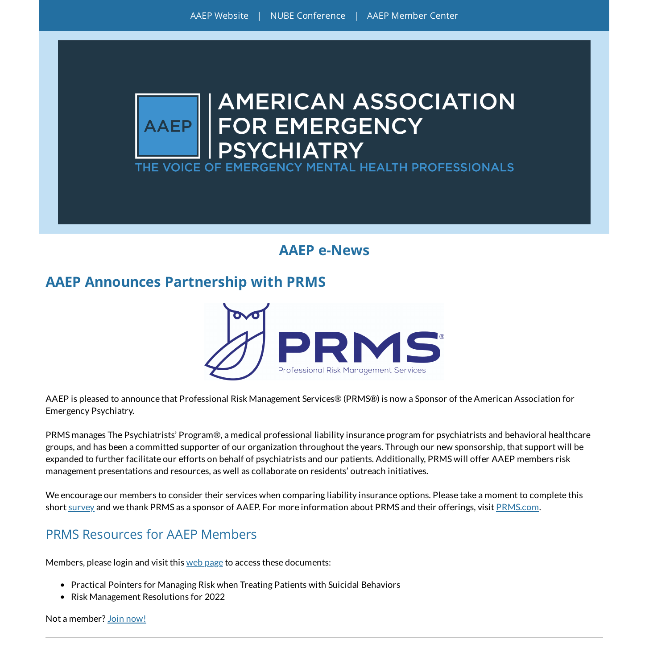

## **AAEP e-News**

## **AAEP Announces Partnership with PRMS**



AAEP is pleased to announce that Professional Risk Management Services® (PRMS®) is now a Sponsor of the American Association for Emergency Psychiatry.

PRMS manages The Psychiatrists' Program®, a medical professional liability insurance program for psychiatrists and behavioral healthcare groups, and has been a committed supporter of our organization throughout the years. Through our new sponsorship, that support will be expanded to further facilitate our efforts on behalf of psychiatrists and our patients. Additionally, PRMS will offer AAEP members risk management presentations and resources, as well as collaborate on residents' outreach initiatives.

We encourage our members to consider their services when comparing liability insurance options. Please take a moment to complete this short [survey](https://prms-oevmw.formstack.com/forms/aaep_prms_partnership_members_survey) and we thank PRMS as a sponsor of AAEP. For more information about PRMS and their offerings, visit [PRMS.com](https://www.prms.com/?utm_source=AAGP%20Partnership%20Announcement&utm_medium=Email&utm_campaign=2020%20AAGP%20Partnership%20Announcement).

#### PRMS Resources for AAEP Members

Members, please login and visit this web [page](https://aaep.memberclicks.net/prms-resources) to access these documents:

- Practical Pointers for Managing Risk when Treating Patients with Suicidal Behaviors
- Risk Management Resolutions for 2022

Not a member? Join [now!](https://aaep.memberclicks.net/join)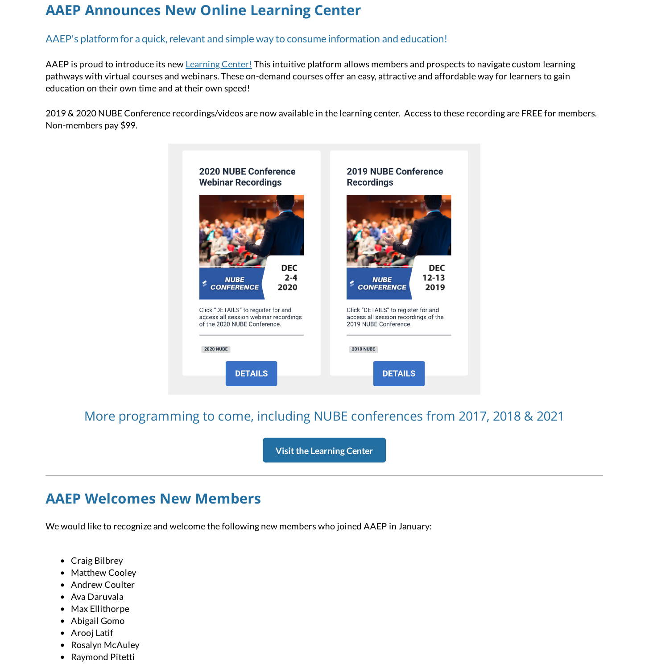# **AAEP Announces New Online Learning Center**

#### AAEP's platform for a quick, relevant and simple way to consume information and education!

AAEP is proud to introduce its new [Learning](https://aaepevent.mclms.net/en/) Center! This intuitive platform allows members and prospects to navigate custom learning pathways with virtual courses and webinars. These on-demand courses offer an easy, attractive and affordable way for learners to gain education on their own time and at their own speed!

2019 & 2020 NUBE Conference recordings/videos are now available in the learning center. Access to these recording are FREE for members. Non-members pay \$99.



More programming to come, including NUBE conferences from 2017, 2018 & 2021

**Visitthe [Learning](https://aaepevent.mclms.net/en/) Center**

## **AAEP Welcomes New Members**

We would like to recognize and welcome the following new members who joined AAEP in January:

- Craig Bilbrey
- Matthew Cooley
- Andrew Coulter
- Ava Daruvala
- Max Ellithorpe
- Abigail Gomo
- Arooj Latif
- Rosalyn McAuley
- Raymond Pitetti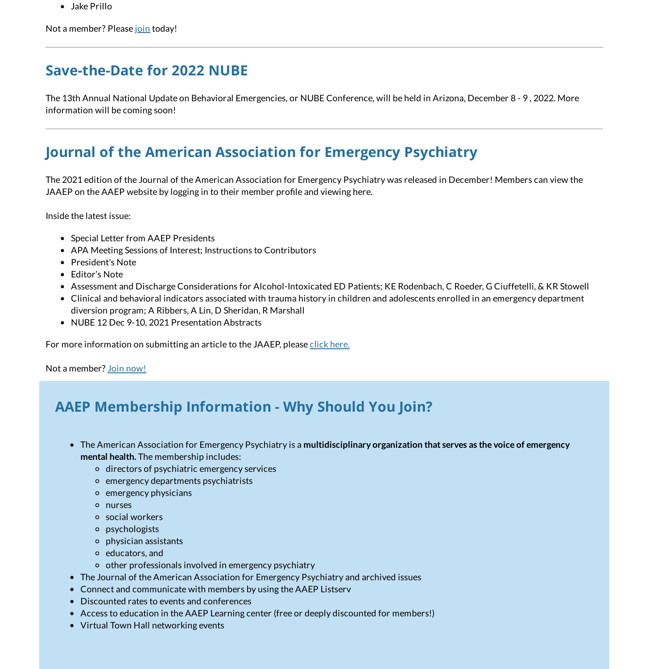Jake Prillo

Not a member? Please [join](https://aaep.memberclicks.net/join) today!

# **Save-the-Date for 2022 NUBE**

The 13th Annual National Update on Behavioral Emergencies, or NUBE Conference, will be held in Arizona, December 8 - 9 , 2022. More information will be coming soon!

# **Journal of the American Association for Emergency Psychiatry**

The 2021 edition of the Journal of the American Association for Emergency Psychiatry was released in December! Members can view the JAAEP on the AAEP website by logging in to their member profile and viewing here.

Inside the latest issue:

- Special Letter from AAEP Presidents
- APA Meeting Sessions of Interest; Instructions to Contributors
- President's Note
- Editor's Note
- Assessment and Discharge Considerations for Alcohol-Intoxicated ED Patients; KE Rodenbach, C Roeder, G Ciuffetelli, & KR Stowell
- Clinical and behavioral indicators associated with trauma history in children and adolescents enrolled in an emergency department diversion program; A Ribbers, A Lin, D Sheridan, R Marshall
- NUBE 12 Dec 9-10, 2021 Presentation Abstracts

For more information on submitting an article to the JAAEP, please click [here.](https://aaep.memberclicks.net/journal-of-the-american-association-for-emergency-psychiatry)

Not a member? Join [now!](https://aaep.memberclicks.net/join)

# **AAEP Membership Information - Why Should You Join?**

- The American Association for Emergency Psychiatry is a **multidisciplinary organization that serves as the voice of emergency mental health.** The membership includes:
	- o directors of psychiatric emergency services
	- emergency departments psychiatrists
	- emergency physicians
	- nurses
	- social workers
	- psychologists
	- physician assistants
	- educators, and
	- $\circ$  other professionals involved in emergency psychiatry
- The Journal of the American Association for Emergency Psychiatry and archived issues
- Connect and communicate with members by using the AAEP Listserv
- Discounted rates to events and conferences
- Access to education in the AAEP Learning center (free or deeply discounted for members!)
- Virtual Town Hall networking events